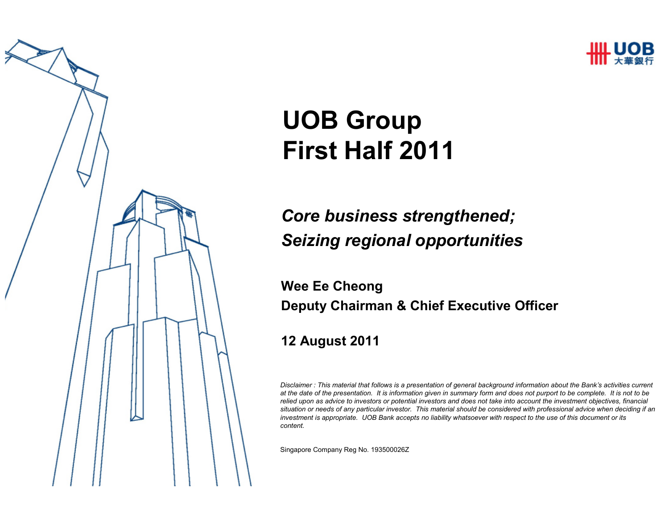

# UOB GroupFirst Half 2011

#### Core business strengthened; Seizing regional opportunities

#### Wee Ee CheongDeputy Chairman & Chief Executive Officer

#### 12 August 2011

*Disclaimer : This material that follows is a presentation of general background information about the Bank's activities current at the date of the presentation. It is information given in summary form and does not purport to be complete. It is not to be relied upon as advice to investors or potential investors and does not take into account the investment objectives, financial situation or needs of any particular investor. This material should be considered with professional advice when deciding if an investment is appropriate. UOB Bank accepts no liability whatsoever with respect to the use of this document or its content.*

Singapore Company Reg No. 193500026Z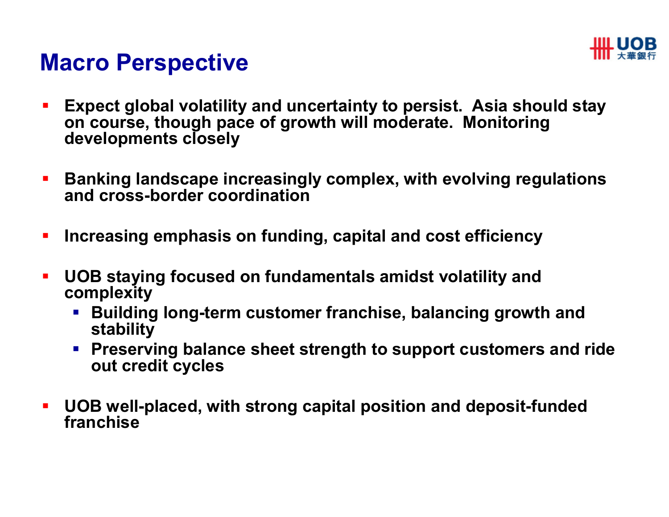

#### Macro Perspective

- $\blacksquare$  Expect global volatility and uncertainty to persist. Asia should stay on course, though pace of growth will moderate. Monitoring developments closely
- $\blacksquare$  Banking landscape increasingly complex, with evolving regulations and cross-border coordination
- $\blacksquare$ Increasing emphasis on funding, capital and cost efficiency
- $\blacksquare$  UOB staying focused on fundamentals amidst volatility and complexity
	- $\overline{\phantom{a}}$  Building long-term customer franchise, balancing growth and stability
	- **Preserving balance sheet strength to support customers and ride** out credit cycles
- $\mathbf{r}$  UOB well-placed, with strong capital position and deposit-funded franchise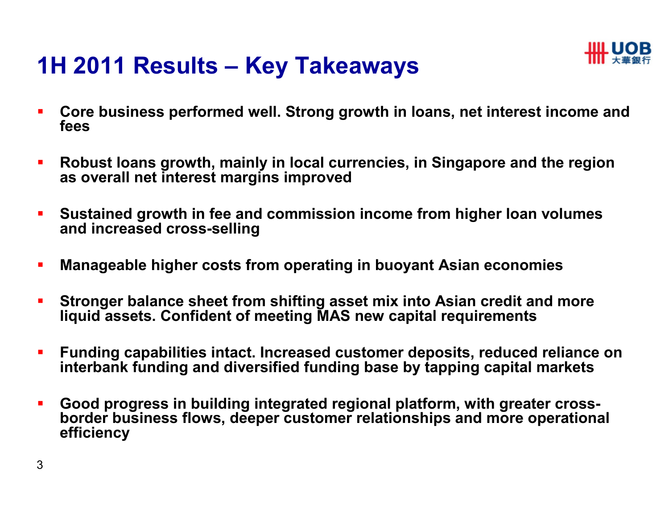### 1H 2011 Results – Key Takeaways



- $\overline{\phantom{a}}$  Core business performed well. Strong growth in loans, net interest income and fees
- $\blacksquare$  Robust loans growth, mainly in local currencies, in Singapore and the region as overall net interest margins improved
- $\blacksquare$  Sustained growth in fee and commission income from higher loan volumes and increased cross-selling
- $\blacksquare$ Manageable higher costs from operating in buoyant Asian economies
- $\blacksquare$  Stronger balance sheet from shifting asset mix into Asian credit and more liquid assets. Confident of meeting MAS new capital requirements
- $\blacksquare$  Funding capabilities intact. Increased customer deposits, reduced reliance on interbank funding and diversified funding base by tapping capital markets
- $\blacksquare$  Good progress in building integrated regional platform, with greater crossborder business flows, deeper customer relationships and more operational efficiency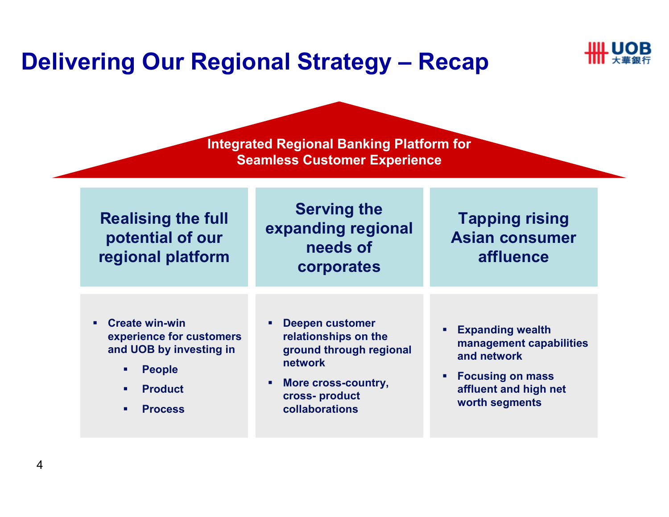### Delivering Our Regional Strategy – Recap



Integrated Regional Banking Platform for Seamless Customer Experience

| <b>Realising the full</b><br>potential of our<br>regional platform                                                                                      | <b>Serving the</b><br>expanding regional<br>needs of<br>corporates                                                                             | <b>Tapping rising</b><br><b>Asian consumer</b><br>affluence                                                                             |
|---------------------------------------------------------------------------------------------------------------------------------------------------------|------------------------------------------------------------------------------------------------------------------------------------------------|-----------------------------------------------------------------------------------------------------------------------------------------|
| <b>Create win-win</b><br>٠<br>experience for customers<br>and UOB by investing in<br><b>People</b><br>٠<br><b>Product</b><br>п.<br><b>Process</b><br>л. | <b>Deepen customer</b><br>relationships on the<br>ground through regional<br>network<br>More cross-country,<br>cross-product<br>collaborations | <b>Expanding wealth</b><br>management capabilities<br>and network<br><b>Focusing on mass</b><br>affluent and high net<br>worth segments |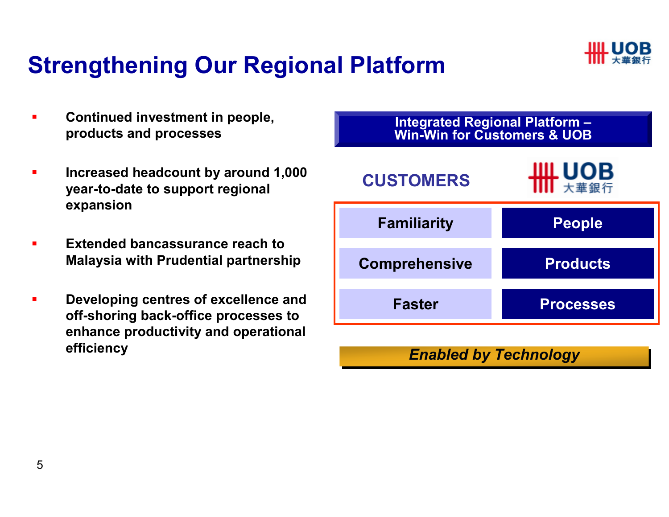

## Strengthening Our Regional Platform

- $\blacksquare$  Continued investment in people, products and processes
- $\blacksquare$  Increased headcount by around 1,000 year-to-date to support regional expansion
- $\blacksquare$  Extended bancassurance reach to Malaysia with Prudential partnership
- $\blacksquare$  Developing centres of excellence and off-shoring back-office processes to enhance productivity and operational efficiency



#### Enabled by Technology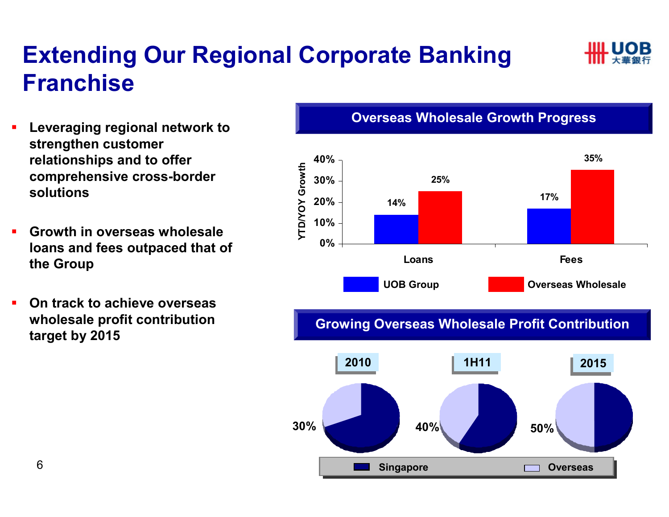## Extending Our Regional Corporate Banking Franchise

- $\blacksquare$  Leveraging regional network to strengthen customer relationships and to offer comprehensive cross-border solutions
- $\blacksquare$  Growth in overseas wholesale loans and fees outpaced that of the Group
- $\blacksquare$  On track to achieve overseas wholesale profit contribution target by 2015

#### 35%40%**YTD/YOY Growth** YTD/YOY Growth 30%25% 17% 20%14%10%0%

Loans **Fees** UOB GroupOverseas Wholesale

Overseas Wholesale Growth Progress

Growing Overseas Wholesale Profit Contribution





2015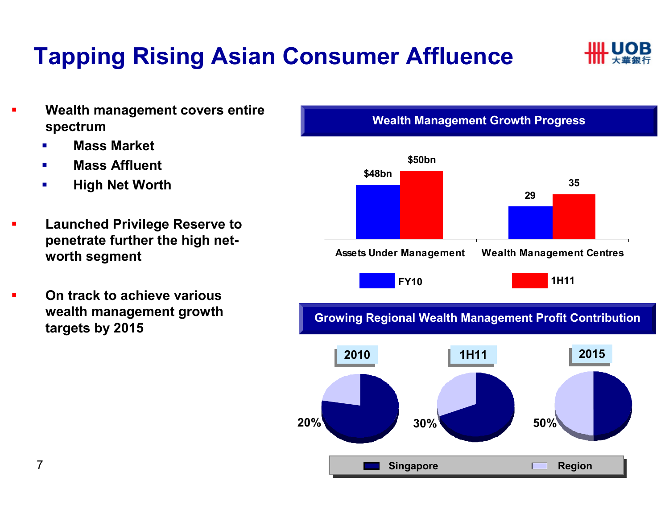# Tapping Rising Asian Consumer Affluence



- ▉ Wealth management covers entire spectrum
	- **Reduced Strutch Financisc Financisc Financisc Properties Constance Constance Constance Constance Constance Constance Constance Constance Constance Constance Constance Constance Constance Constance Constance Constance Cons** п
	- $\mathbf{r}$ Mass Affluent
	- $\blacksquare$ High Net Worth
- ▉ Launched Privilege Reserve to penetrate further the high networth segment
- $\blacksquare$  On track to achieve various wealth management growth